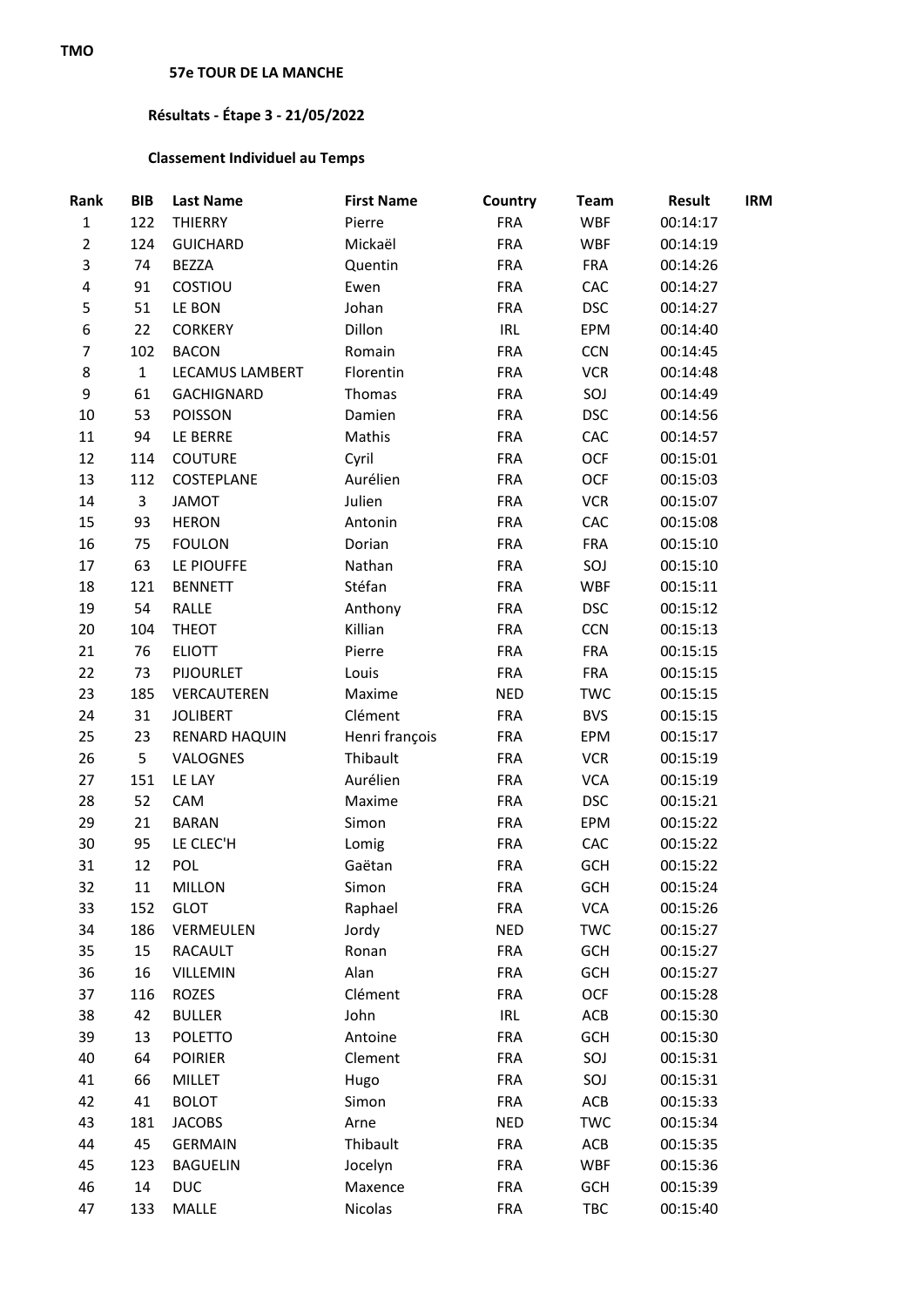## **Résultats - Étape 3 - 21/05/2022**

## **Classement Individuel au Temps**

| Rank           | <b>BIB</b>   | <b>Last Name</b>     | <b>First Name</b> | Country    | <b>Team</b> | <b>Result</b> | <b>IRM</b> |
|----------------|--------------|----------------------|-------------------|------------|-------------|---------------|------------|
| $\mathbf{1}$   | 122          | <b>THIERRY</b>       | Pierre            | <b>FRA</b> | <b>WBF</b>  | 00:14:17      |            |
| $\overline{2}$ | 124          | <b>GUICHARD</b>      | Mickaël           | <b>FRA</b> | <b>WBF</b>  | 00:14:19      |            |
| 3              | 74           | <b>BEZZA</b>         | Quentin           | <b>FRA</b> | <b>FRA</b>  | 00:14:26      |            |
| 4              | 91           | COSTIOU              | Ewen              | <b>FRA</b> | CAC         | 00:14:27      |            |
| 5              | 51           | LE BON               | Johan             | <b>FRA</b> | <b>DSC</b>  | 00:14:27      |            |
| 6              | 22           | <b>CORKERY</b>       | Dillon            | <b>IRL</b> | EPM         | 00:14:40      |            |
| $\overline{7}$ | 102          | <b>BACON</b>         | Romain            | <b>FRA</b> | <b>CCN</b>  | 00:14:45      |            |
| 8              | $\mathbf{1}$ | LECAMUS LAMBERT      | Florentin         | <b>FRA</b> | <b>VCR</b>  | 00:14:48      |            |
| 9              | 61           | <b>GACHIGNARD</b>    | Thomas            | <b>FRA</b> | SOJ         | 00:14:49      |            |
| 10             | 53           | POISSON              | Damien            | <b>FRA</b> | <b>DSC</b>  | 00:14:56      |            |
| 11             | 94           | LE BERRE             | Mathis            | <b>FRA</b> | CAC         | 00:14:57      |            |
| 12             | 114          | <b>COUTURE</b>       | Cyril             | <b>FRA</b> | <b>OCF</b>  | 00:15:01      |            |
| 13             | 112          | COSTEPLANE           | Aurélien          | <b>FRA</b> | <b>OCF</b>  | 00:15:03      |            |
| 14             | 3            | <b>JAMOT</b>         | Julien            | <b>FRA</b> | <b>VCR</b>  | 00:15:07      |            |
| 15             | 93           | <b>HERON</b>         | Antonin           | <b>FRA</b> | CAC         | 00:15:08      |            |
| 16             | 75           | <b>FOULON</b>        | Dorian            | <b>FRA</b> | <b>FRA</b>  | 00:15:10      |            |
| 17             | 63           | LE PIOUFFE           | Nathan            | <b>FRA</b> | SOJ         | 00:15:10      |            |
| 18             | 121          | <b>BENNETT</b>       | Stéfan            | <b>FRA</b> | <b>WBF</b>  | 00:15:11      |            |
| 19             | 54           | RALLE                | Anthony           | <b>FRA</b> | <b>DSC</b>  | 00:15:12      |            |
| 20             | 104          | <b>THEOT</b>         | Killian           | <b>FRA</b> | <b>CCN</b>  | 00:15:13      |            |
| 21             | 76           | <b>ELIOTT</b>        | Pierre            | <b>FRA</b> | <b>FRA</b>  | 00:15:15      |            |
| 22             | 73           | <b>PIJOURLET</b>     | Louis             | <b>FRA</b> | <b>FRA</b>  | 00:15:15      |            |
| 23             | 185          | VERCAUTEREN          | Maxime            | <b>NED</b> | <b>TWC</b>  | 00:15:15      |            |
| 24             | 31           | <b>JOLIBERT</b>      | Clément           | <b>FRA</b> | <b>BVS</b>  | 00:15:15      |            |
| 25             | 23           | <b>RENARD HAQUIN</b> | Henri françois    | <b>FRA</b> | EPM         | 00:15:17      |            |
| 26             | 5            | VALOGNES             | Thibault          | <b>FRA</b> | <b>VCR</b>  | 00:15:19      |            |
| 27             | 151          | LE LAY               | Aurélien          | <b>FRA</b> | <b>VCA</b>  | 00:15:19      |            |
| 28             | 52           | CAM                  | Maxime            | <b>FRA</b> | <b>DSC</b>  | 00:15:21      |            |
| 29             | 21           | <b>BARAN</b>         | Simon             | <b>FRA</b> | EPM         | 00:15:22      |            |
| 30             | 95           | LE CLEC'H            | Lomig             | <b>FRA</b> | CAC         | 00:15:22      |            |
| 31             | 12           | POL                  | Gaëtan            | <b>FRA</b> | GCH         | 00:15:22      |            |
| 32             | 11           | MILLON               | Simon             | <b>FRA</b> | GCH         | 00:15:24      |            |
| 33             | 152          | <b>GLOT</b>          | Raphael           | <b>FRA</b> | <b>VCA</b>  | 00:15:26      |            |
| 34             | 186          | VERMEULEN            | Jordy             | <b>NED</b> | <b>TWC</b>  | 00:15:27      |            |
| 35             | 15           | <b>RACAULT</b>       | Ronan             | <b>FRA</b> | GCH         | 00:15:27      |            |
| 36             | 16           | VILLEMIN             | Alan              | <b>FRA</b> | <b>GCH</b>  | 00:15:27      |            |
| 37             | 116          | <b>ROZES</b>         | Clément           | <b>FRA</b> | <b>OCF</b>  | 00:15:28      |            |
| 38             | 42           | <b>BULLER</b>        | John              | IRL        | ACB         | 00:15:30      |            |
| 39             | 13           | <b>POLETTO</b>       | Antoine           | <b>FRA</b> | <b>GCH</b>  | 00:15:30      |            |
| 40             | 64           | <b>POIRIER</b>       | Clement           | <b>FRA</b> | SOJ         | 00:15:31      |            |
| 41             | 66           | MILLET               | Hugo              | <b>FRA</b> | SOJ         | 00:15:31      |            |
| 42             | 41           | <b>BOLOT</b>         | Simon             | <b>FRA</b> | ACB         | 00:15:33      |            |
| 43             | 181          | <b>JACOBS</b>        | Arne              | <b>NED</b> | <b>TWC</b>  | 00:15:34      |            |
| 44             | 45           | <b>GERMAIN</b>       | Thibault          | <b>FRA</b> | ACB         | 00:15:35      |            |
| 45             | 123          | <b>BAGUELIN</b>      | Jocelyn           | <b>FRA</b> | <b>WBF</b>  | 00:15:36      |            |
| 46             | 14           | <b>DUC</b>           | Maxence           | <b>FRA</b> | <b>GCH</b>  | 00:15:39      |            |
| 47             | 133          | MALLE                | Nicolas           | <b>FRA</b> | TBC         | 00:15:40      |            |